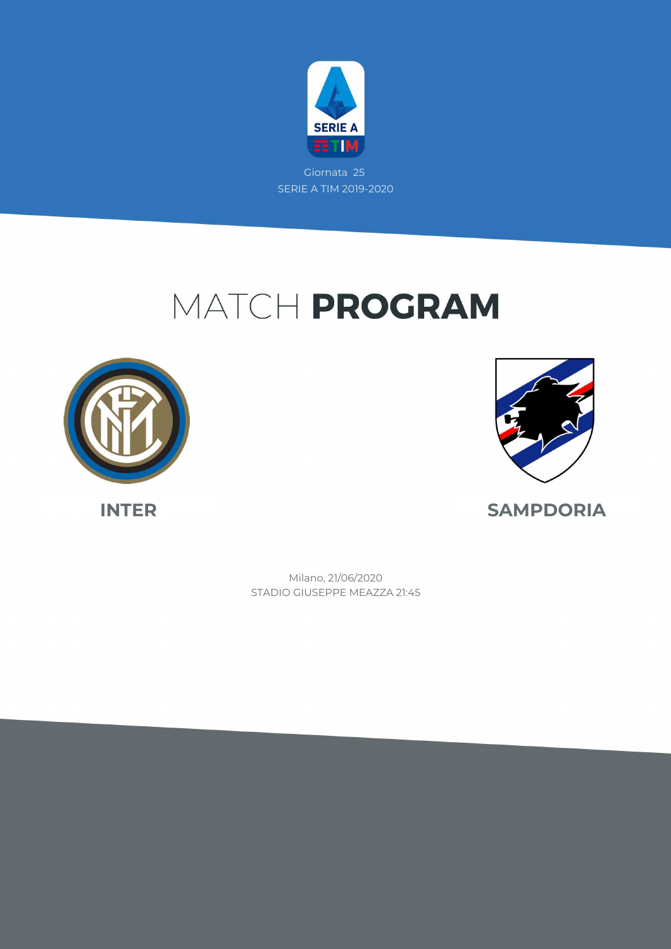

Giornata 25 SERIE A TIM 2019-2020

# MATCH PROGRAM





**INTER SAMPDORIA**

STADIO GIUSEPPE MEAZZA 21:45 Milano, 21/06/2020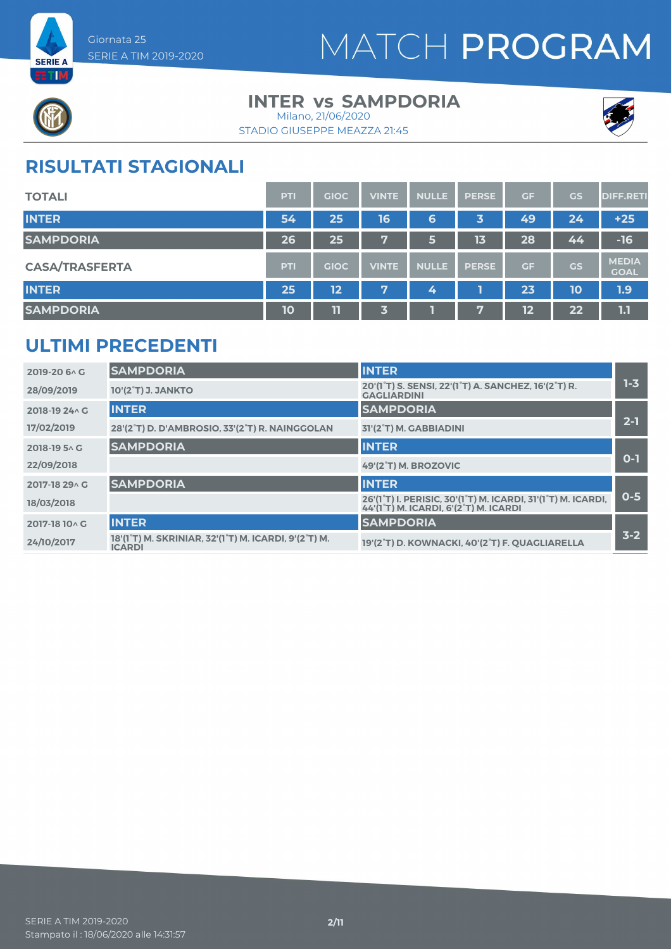



### **INTER vs SAMPDORIA** Milano, 21/06/2020





## **RISULTATI STAGIONALI**

| <b>TOTALI</b>         | PTI | <b>GIOC</b> | <b>VINTE</b> | <b>NULLE</b> | <b>PERSE</b> | <b>GF</b> | <b>GS</b> | <b>DIFF.RETI</b>            |
|-----------------------|-----|-------------|--------------|--------------|--------------|-----------|-----------|-----------------------------|
| <b>INTER</b>          | 54  | 25          | 16           | 6            | 3            | 49        | 24        | $+25$                       |
| <b>SAMPDORIA</b>      | 26  | 25          | V.           | 6            | 13           | 28        | 44        | $-16$                       |
| <b>CASA/TRASFERTA</b> | PTI | <b>GIOC</b> | <b>VINTE</b> | <b>NULLE</b> | <b>PERSE</b> | <b>GF</b> | GS        | <b>MEDIA</b><br><b>GOAL</b> |
| <b>INTER</b>          | 25  | 12          | 7            | 4            |              | 23        | 10        | 1.9                         |
| <b>SAMPDORIA</b>      | 10  | 11          | 3            |              | 57           | 12        | 22        | 1.1                         |

### **ULTIMI PRECEDENTI**

| 2019-20 6 \ G  | <b>SAMPDORIA</b>                                                      | <b>INTER</b>                                                                                                     |         |
|----------------|-----------------------------------------------------------------------|------------------------------------------------------------------------------------------------------------------|---------|
| 28/09/2019     | 10'(2°T) J. JANKTO                                                    | 20'(1 <sup>°</sup> T) S. SENSI, 22'(1 <sup>°</sup> T) A. SANCHEZ, 16'(2 <sup>°</sup> T) R.<br><b>GAGLIARDINI</b> | $1 - 3$ |
| 2018-19 24 \ G | <b>INTER</b>                                                          | <b>SAMPDORIA</b>                                                                                                 |         |
| 17/02/2019     | 28'(2°T) D. D'AMBROSIO, 33'(2°T) R. NAINGGOLAN                        | 31'(2°T) M. GABBIADINI                                                                                           | $2 - 1$ |
| 2018-19 5 AG   | <b>SAMPDORIA</b>                                                      | <b>INTER</b>                                                                                                     |         |
| 22/09/2018     |                                                                       | 49'(2°T) M. BROZOVIC                                                                                             | $O-1$   |
| 2017-18 29 \ G | <b>SAMPDORIA</b>                                                      | <b>INTER</b>                                                                                                     |         |
| 18/03/2018     |                                                                       | 26'(1°T) I. PERISIC, 30'(1°T) M. ICARDI, 31'(1°T) M. ICARDI,<br>44'(1°T) M. ICARDI. 6'(2°T) M. ICARDI            | $0 - 5$ |
| 2017-18 10 \ G | <b>INTER</b>                                                          | <b>SAMPDORIA</b>                                                                                                 |         |
| 24/10/2017     | 18'(1°T) M. SKRINIAR, 32'(1°T) M. ICARDI, 9'(2°T) M.<br><b>ICARDI</b> | 19'(2°T) D. KOWNACKI, 40'(2°T) F. QUAGLIARELLA                                                                   | $3 - 2$ |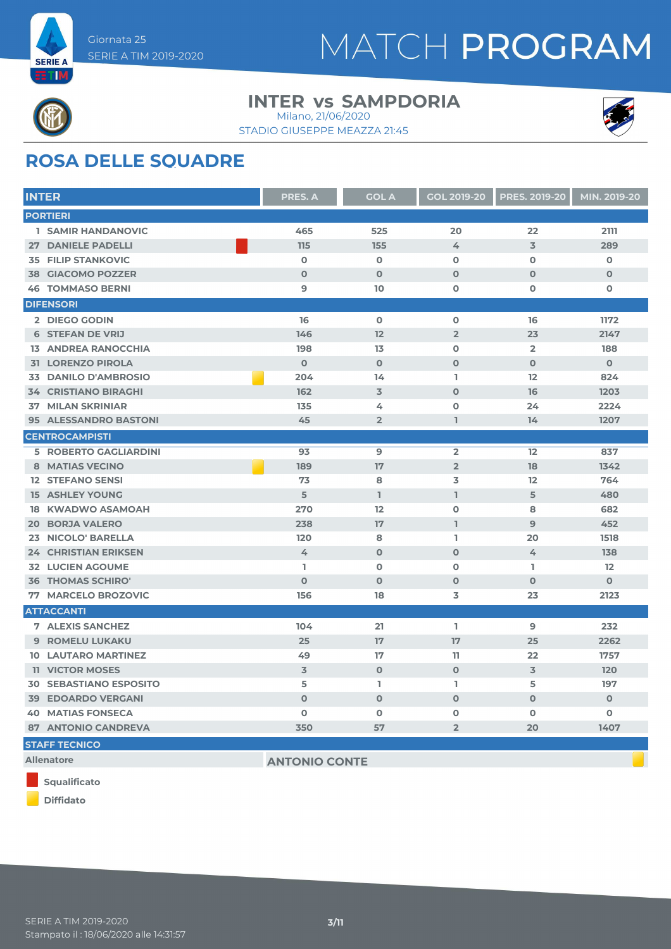



### **INTER vs SAMPDORIA** Milano, 21/06/2020

STADIO GIUSEPPE MEAZZA 21:45



## **ROSA DELLE SQUADRE**

| <b>INTER</b>                  | <b>PRES. A</b>       | <b>GOL A</b>   | <b>GOL 2019-20</b> | <b>PRES. 2019-20</b>    | MIN. 2019-20 |
|-------------------------------|----------------------|----------------|--------------------|-------------------------|--------------|
| <b>PORTIERI</b>               |                      |                |                    |                         |              |
| <b>1 SAMIR HANDANOVIC</b>     | 465                  | 525            | 20                 | 22                      | 2111         |
| <b>27 DANIELE PADELLI</b>     | 115                  | 155            | 4                  | 3                       | 289          |
| <b>35 FILIP STANKOVIC</b>     | $\mathbf 0$          | $\mathbf 0$    | $\mathbf 0$        | $\mathbf 0$             | $\mathbf 0$  |
| <b>38 GIACOMO POZZER</b>      | $\mathbf 0$          | $\mathbf{O}$   | $\mathbf{O}$       | $\Omega$                | $\mathbf{O}$ |
| <b>46 TOMMASO BERNI</b>       | 9                    | 10             | $\Omega$           | $\Omega$                | $\mathbf 0$  |
| <b>DIFENSORI</b>              |                      |                |                    |                         |              |
| 2 DIEGO GODIN                 | 16                   | $\mathbf 0$    | $\mathbf 0$        | 16                      | 1172         |
| <b>6 STEFAN DE VRIJ</b>       | 146                  | 12             | $\overline{2}$     | 23                      | 2147         |
| <b>13 ANDREA RANOCCHIA</b>    | 198                  | 13             | $\mathbf 0$        | $\overline{\mathbf{2}}$ | 188          |
| <b>31 LORENZO PIROLA</b>      | $\mathbf 0$          | $\mathbf 0$    | $\mathbf 0$        | $\mathbf 0$             | $\mathbf{O}$ |
| <b>33 DANILO D'AMBROSIO</b>   | 204                  | 14             | L.                 | 12                      | 824          |
| <b>34 CRISTIANO BIRAGHI</b>   | 162                  | 3              | $\Omega$           | 16                      | 1203         |
| <b>37 MILAN SKRINIAR</b>      | 135                  | 4              | $\overline{0}$     | 24                      | 2224         |
| 95 ALESSANDRO BASTONI         | 45                   | $\overline{2}$ | T.                 | 14                      | 1207         |
| <b>CENTROCAMPISTI</b>         |                      |                |                    |                         |              |
| <b>5 ROBERTO GAGLIARDINI</b>  | 93                   | $\mathbf{9}$   | $\overline{2}$     | 12                      | 837          |
| <b>8 MATIAS VECINO</b>        | 189                  | 17             | $\overline{2}$     | 18                      | 1342         |
| <b>12 STEFANO SENSI</b>       | 73                   | 8              | 3                  | 12                      | 764          |
| <b>15 ASHLEY YOUNG</b>        | 5                    | $\mathbf{I}$   | $\mathbf{1}$       | 5                       | 480          |
| <b>18 KWADWO ASAMOAH</b>      | 270                  | 12             | $\mathbf 0$        | 8                       | 682          |
| <b>20 BORJA VALERO</b>        | 238                  | 17             | $\mathbf{1}$       | 9                       | 452          |
| <b>NICOLO' BARELLA</b><br>23  | 120                  | 8              | I.                 | 20                      | 1518         |
| <b>24 CHRISTIAN ERIKSEN</b>   | 4                    | $\mathbf{O}$   | $\mathbf 0$        | 4                       | 138          |
| <b>32 LUCIEN AGOUME</b>       | I.                   | $\mathbf 0$    | $\overline{0}$     | I.                      | 12           |
| <b>36 THOMAS SCHIRO'</b>      | $\Omega$             | $\mathbf 0$    | $\mathbf 0$        | $\mathbf 0$             | $\mathbf{O}$ |
| <b>MARCELO BROZOVIC</b><br>77 | 156                  | 18             | 3                  | 23                      | 2123         |
| <b>ATTACCANTI</b>             |                      |                |                    |                         |              |
| <b>7 ALEXIS SANCHEZ</b>       | 104                  | 21             | I.                 | $\mathbf{9}$            | 232          |
| 9 ROMELU LUKAKU               | 25                   | 17             | 17                 | 25                      | 2262         |
| <b>10 LAUTARO MARTINEZ</b>    | 49                   | 17             | 11                 | 22                      | 1757         |
| <b>11 VICTOR MOSES</b>        | 3                    | $\mathbf 0$    | $\mathbf 0$        | 3                       | 120          |
| <b>30 SEBASTIANO ESPOSITO</b> | 5                    | L              | L                  | 5                       | 197          |
| <b>39 EDOARDO VERGANI</b>     | $\Omega$             | $\mathbf 0$    | $\mathbf 0$        | $\mathbf{O}$            | $\mathbf{O}$ |
| <b>40 MATIAS FONSECA</b>      | $\mathbf 0$          | $\mathbf 0$    | $\mathbf 0$        | O                       | $\mathbf 0$  |
| <b>87 ANTONIO CANDREVA</b>    | 350                  | 57             | $\overline{2}$     | 20                      | 1407         |
| <b>STAFF TECNICO</b>          |                      |                |                    |                         |              |
| <b>Allenatore</b>             | <b>ANTONIO CONTE</b> |                |                    |                         |              |



**Diffidato**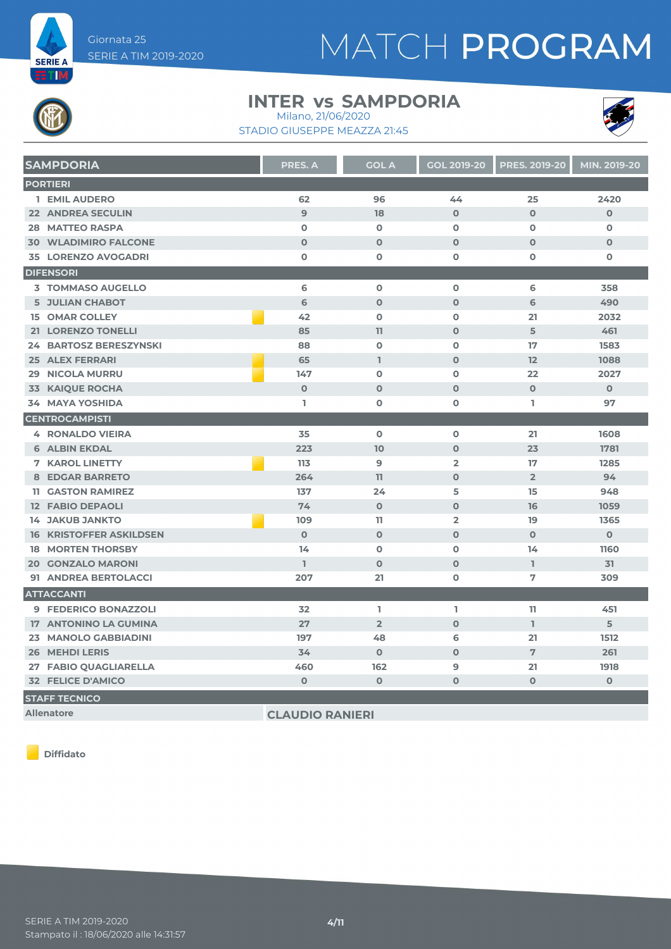

### **INTER vs SAMPDORIA** Milano, 21/06/2020





| <b>SAMPDORIA</b>               | PRES. A        | <b>GOL A</b>   | <b>GOL 2019-20</b> | <b>PRES. 2019-20</b> | MIN. 2019-20 |
|--------------------------------|----------------|----------------|--------------------|----------------------|--------------|
| <b>PORTIERI</b>                |                |                |                    |                      |              |
| 1 EMIL AUDERO                  | 62             | 96             | 44                 | 25                   | 2420         |
| <b>22 ANDREA SECULIN</b>       | $\overline{9}$ | 18             | $\mathbf 0$        | $\mathbf 0$          | $\mathbf 0$  |
| <b>28 MATTEO RASPA</b>         | $\mathbf 0$    | $\mathbf 0$    | $\mathbf 0$        | $\mathbf 0$          | $\mathbf o$  |
| <b>30 WLADIMIRO FALCONE</b>    | $\mathbf 0$    | $\mathbf 0$    | $\mathbf 0$        | $\mathbf{O}$         | $\mathbf 0$  |
| <b>35 LORENZO AVOGADRI</b>     | $\mathbf 0$    | $\mathbf 0$    | $\mathbf 0$        | $\mathbf 0$          | $\mathbf 0$  |
| <b>DIFENSORI</b>               |                |                |                    |                      |              |
| <b>3 TOMMASO AUGELLO</b>       | 6              | $\mathbf 0$    | $\mathbf 0$        | 6                    | 358          |
| <b>5 JULIAN CHABOT</b>         | 6              | $\mathbf 0$    | $\mathbf 0$        | 6                    | 490          |
| <b>15 OMAR COLLEY</b>          | 42             | $\mathbf 0$    | $\mathbf 0$        | 21                   | 2032         |
| 21 LORENZO TONELLI             | 85             | 11             | $\mathbf 0$        | 5                    | 461          |
| <b>24 BARTOSZ BERESZYNSKI</b>  | 88             | $\mathbf 0$    | $\mathbf 0$        | 17                   | 1583         |
| <b>25 ALEX FERRARI</b>         | 65             | $\mathbb{I}$   | $\mathbf 0$        | 12                   | 1088         |
| <b>29 NICOLA MURRU</b>         | 147            | $\mathbf 0$    | $\mathbf 0$        | 22                   | 2027         |
| <b>33 KAIQUE ROCHA</b>         | $\mathbf 0$    | $\mathbf{O}$   | $\mathbf{O}$       | $\mathbf{O}$         | $\mathbf 0$  |
| <b>34 MAYA YOSHIDA</b>         | L              | $\mathbf 0$    | 0                  | T.                   | 97           |
| <b>CENTROCAMPISTI</b>          |                |                |                    |                      |              |
| <b>4 RONALDO VIEIRA</b>        | 35             | $\mathbf 0$    | $\mathbf 0$        | 21                   | 1608         |
| <b>6 ALBIN EKDAL</b>           | 223            | 10             | $\mathbf 0$        | 23                   | 1781         |
| <b>7 KAROL LINETTY</b>         | 113            | $\overline{9}$ | $\overline{2}$     | 17                   | 1285         |
| <b>8 EDGAR BARRETO</b>         | 264            | 11             | $\mathbf{O}$       | $\overline{2}$       | 94           |
| <b>11 GASTON RAMIREZ</b>       | 137            | 24             | 5                  | 15                   | 948          |
| <b>12 FABIO DEPAOLI</b>        | 74             | $\mathbf 0$    | $\mathbf{O}$       | 16                   | 1059         |
| <b>14 JAKUB JANKTO</b>         | 109            | $\mathbf{1}$   | $\overline{2}$     | 19                   | 1365         |
| <b>16 KRISTOFFER ASKILDSEN</b> | $\Omega$       | $\Omega$       | $\Omega$           | $\Omega$             | $\mathbf{O}$ |
| <b>18 MORTEN THORSBY</b>       | 14             | $\mathbf 0$    | $\mathbf 0$        | 14                   | 1160         |
| <b>20 GONZALO MARONI</b>       | L              | $\mathbf 0$    | $\mathbf 0$        | $\mathbf{I}$         | 31           |
| 91 ANDREA BERTOLACCI           | 207            | 21             | $\mathbf 0$        | 7                    | 309          |
| <b>ATTACCANTI</b>              |                |                |                    |                      |              |
| 9 FEDERICO BONAZZOLI           | 32             | L.             | L                  | 11                   | 451          |
| 17 ANTONINO LA GUMINA          | 27             | $\overline{2}$ | $\mathbf{O}$       | L.                   | 5            |
| 23 MANOLO GABBIADINI           | 197            | 48             | 6                  | 21                   | 1512         |
| <b>26 MEHDI LERIS</b>          | 34             | $\mathbf{O}$   | $\mathbf{O}$       | 7                    | 261          |
| 27 FABIO QUAGLIARELLA          | 460            | 162            | 9                  | 21                   | 1918         |
| <b>32 FELICE D'AMICO</b>       | $\mathbf 0$    | $\pmb{0}$      | $\mathbf 0$        | $\mathbf 0$          | $\pmb{0}$    |
| <b>STAFF TECNICO</b>           |                |                |                    |                      |              |

**Allenatore CLAUDIO RANIERI**

**Diffidato**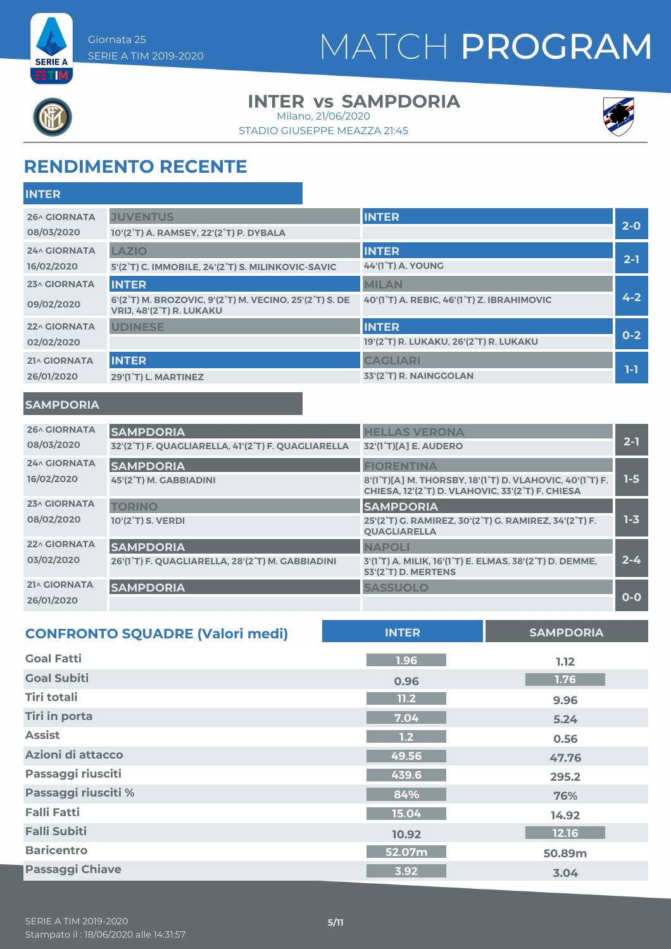



## **INTER vs SAMPDORIA**

STADIO GIUSEPPE MEAZZA 21:45 Milano, 21/06/2020



## **RENDIMENTO RECENTE**

| <b>INTER</b>                      |                                                                                                                                                  |                                                            |         |
|-----------------------------------|--------------------------------------------------------------------------------------------------------------------------------------------------|------------------------------------------------------------|---------|
| <b>26^ GIORNATA</b><br>08/03/2020 | <b>JUVENTUS</b><br>10'(2°T) A. RAMSEY, 22'(2°T) P. DYBALA                                                                                        | <b>INTER</b>                                               | $2-0$   |
| <b>24^ GIORNATA</b><br>16/02/2020 | <b>LAZIO</b><br>5'(2°T) C. IMMOBILE, 24'(2°T) S. MILINKOVIC-SAVIC                                                                                | <b>INTER</b><br><b>44'(1°T) A. YOUNG</b>                   | $2 - 1$ |
| 23^ GIORNATA<br>09/02/2020        | <b>INTER</b><br>6'(2 <sup>°</sup> T) M. BROZOVIC, 9'(2 <sup>°</sup> T) M. VECINO, 25'(2 <sup>°</sup> T) S. DE<br><b>VRIJ, 48'(2°T) R. LUKAKU</b> | <b>MILAN</b><br>40'(1°T) A. REBIC, 46'(1°T) Z. IBRAHIMOVIC | $4 - 2$ |
| 22^ GIORNATA<br>02/02/2020        | <b>UDINESE</b>                                                                                                                                   | <b>INTER</b><br>19'(2°T) R. LUKAKU, 26'(2°T) R. LUKAKU     | $0 - 2$ |
| 21^ GIORNATA<br>26/01/2020        | <b>INTER</b><br>29'(1°T) L. MARTINEZ                                                                                                             | <b>CAGLIARI</b><br>33'(2°T) R. NAINGGOLAN                  | $1-1$   |
| <b>SAMPDORIA</b>                  |                                                                                                                                                  |                                                            |         |
| 26^ GIORNATA<br>08/03/2020        | <b>SAMPDORIA</b><br>32'(2°T) F. QUAGLIARELLA, 41'(2°T) F. QUAGLIARELLA                                                                           | <b>HELLAS VERONA</b><br>32'(1 <sup>°</sup> T)[A] E. AUDERO | $2 - 1$ |
| $24.6$ CIODNATA                   |                                                                                                                                                  | _____________                                              |         |

|                     | <u>JE (E TJT; QUAULIANLELA, TI (E TJT; QUAULIANLELA E JE (T TJIA) L; AUDENU</u> |                                                                                                                                                                               |         |
|---------------------|---------------------------------------------------------------------------------|-------------------------------------------------------------------------------------------------------------------------------------------------------------------------------|---------|
| <b>24^ GIORNATA</b> | <b>SAMPDORIA</b>                                                                | <b>FIORENTINA</b>                                                                                                                                                             |         |
| 16/02/2020          | 45'(2°T) M. GABBIADINI                                                          | 8'(1 <sup>°</sup> T)[A] M. THORSBY, 18'(1 <sup>°</sup> T) D. VLAHOVIC, 40'(1 <sup>°</sup> T) F.<br>CHIESA, 12'(2 <sup>°</sup> T) D. VLAHOVIC, 33'(2 <sup>°</sup> T) F. CHIESA | $1-5$   |
| 23^ GIORNATA        | <b>TORINO</b>                                                                   | <b>SAMPDORIA</b>                                                                                                                                                              |         |
| 08/02/2020          | 10'(2 <sup>°</sup> T) S. VERDI                                                  | 25'(2°T) G. RAMIREZ, 30'(2°T) G. RAMIREZ, 34'(2°T) F.<br><b>QUAGLIARELLA</b>                                                                                                  | $1 - 3$ |
| 22^ GIORNATA        | <b>SAMPDORIA</b>                                                                | <b>NAPOLI</b>                                                                                                                                                                 |         |
| 03/02/2020          | 26'(1°T) F. QUAGLIARELLA, 28'(2°T) M. GABBIADINI                                | 3'(1 <sup>°</sup> T) A. MILIK, 16'(1 <sup>°</sup> T) E. ELMAS, 38'(2 <sup>°</sup> T) D. DEMME,<br>53'(2 <sup>°</sup> T) D. MERTENS                                            | $2 - 4$ |
| 21^ GIORNATA        | <b>SAMPDORIA</b>                                                                | <b>SASSUOLO</b>                                                                                                                                                               |         |
| 26/01/2020          |                                                                                 |                                                                                                                                                                               | $O-O$   |

| <b>CONFRONTO SQUADRE (Valori medi)</b> | <b>INTER</b> | <b>SAMPDORIA</b> |
|----------------------------------------|--------------|------------------|
| <b>Goal Fatti</b>                      | 1.96         | 1.12             |
| <b>Goal Subiti</b>                     | 0.96         | 1.76             |
| <b>Tiri totali</b>                     | 11.2         | 9.96             |
| <b>Tiri in porta</b>                   | 7.04         | 5.24             |
| <b>Assist</b>                          | 1.2          | 0.56             |
| Azioni di attacco                      | 49.56        | 47.76            |
| Passaggi riusciti                      | 439.6        | 295.2            |
| Passaggi riusciti %                    | 84%          | 76%              |
| <b>Falli Fatti</b>                     | 15.04        | 14.92            |
| <b>Falli Subiti</b>                    | 10.92        | 12.16            |
| <b>Baricentro</b>                      | 52.07m       | 50.89m           |
| <b>Passaggi Chiave</b>                 | 3.92         | 3.04             |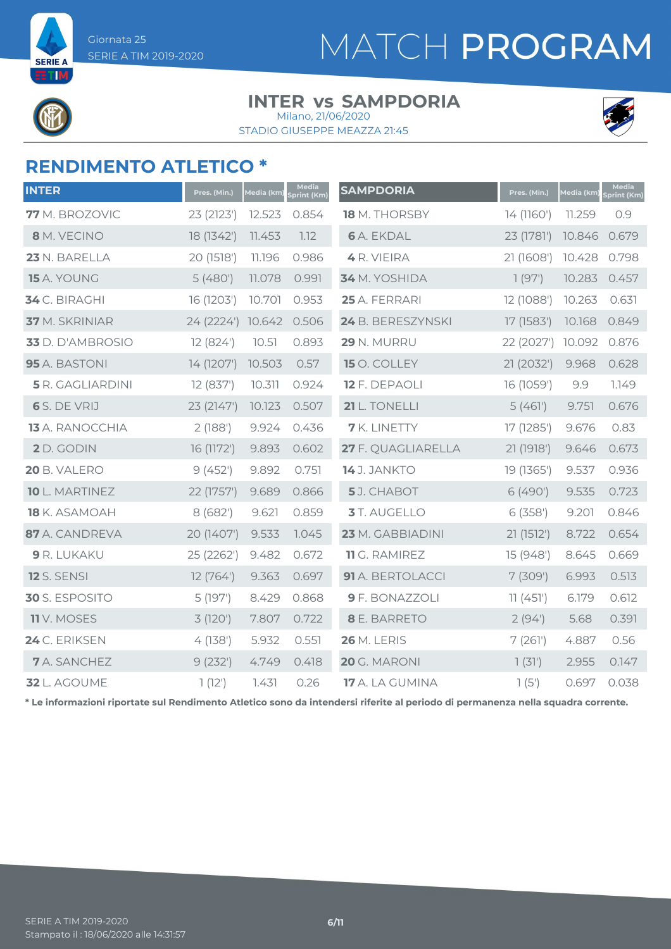**SERIE A** 

# MATCH PROGRAM

### **INTER vs SAMPDORIA** Milano, 21/06/2020

STADIO GIUSEPPE MEAZZA 21:45



### **RENDIMENTO ATLETICO \***

| <b>INTER</b>         | Pres. (Min.) | Media (km) | Media<br>Sprint (Km) | <b>SAMPDORIA</b>       | Pres. (Min.) | Media (km) | Media<br>Sprint (Km) |
|----------------------|--------------|------------|----------------------|------------------------|--------------|------------|----------------------|
| 77 M. BROZOVIC       | 23 (2123')   | 12.523     | 0.854                | 18 M. THORSBY          | 14 (1160')   | 11.259     | 0.9                  |
| 8 M. VECINO          | 18 (1342')   | 11.453     | 1.12                 | <b>6</b> A. EKDAL      | 23 (1781')   | 10.846     | 0.679                |
| 23 N. BARELLA        | 20 (1518')   | 11.196     | 0.986                | 4 R. VIEIRA            | 21 (1608')   | 10.428     | 0.798                |
| 15 A. YOUNG          | 5(480)       | 11.078     | 0.991                | 34 M. YOSHIDA          | 1(97)        | 10.283     | 0.457                |
| 34 C. BIRAGHI        | 16 (1203')   | 10.701     | 0.953                | 25 A. FERRARI          | 12 (1088')   | 10.263     | 0.631                |
| 37 M. SKRINIAR       | 24 (2224')   | 10.642     | 0.506                | 24 B. BERESZYNSKI      | 17 (1583')   | 10.168     | 0.849                |
| 33 D. D'AMBROSIO     | 12 (824')    | 10.51      | 0.893                | 29 N. MURRU            | 22 (2027')   | 10.092     | 0.876                |
| 95 A. BASTONI        | 14 (1207')   | 10.503     | 0.57                 | 15 O. COLLEY           | 21 (2032')   | 9.968      | 0.628                |
| 5 R. GAGLIARDINI     | 12 (837')    | 10.311     | 0.924                | 12 F. DEPAOLI          | 16 (1059')   | 9.9        | 1.149                |
| 6 S. DE VRIJ         | 23 (2147')   | 10.123     | 0.507                | 21 L. TONELLI          | 5(461)       | 9.751      | 0.676                |
| 13 A. RANOCCHIA      | 2(188)       | 9.924      | 0.436                | <b>7</b> K. LINETTY    | 17 (1285')   | 9.676      | 0.83                 |
| 2 D. GODIN           | 16 (1172')   | 9.893      | 0.602                | 27 F. QUAGLIARELLA     | 21 (1918')   | 9.646      | 0.673                |
| 20 B. VALERO         | 9(452)       | 9.892      | 0.751                | 14 J. JANKTO           | 19 (1365')   | 9.537      | 0.936                |
| 10 L. MARTINEZ       | 22 (1757')   | 9.689      | 0.866                | 5J. CHABOT             | 6 (490')     | 9.535      | 0.723                |
| <b>18</b> K. ASAMOAH | 8(682)       | 9.621      | 0.859                | 3 T. AUGELLO           | 6(358)       | 9.201      | 0.846                |
| 87 A. CANDREVA       | 20 (1407')   | 9.533      | 1.045                | 23 M. GABBIADINI       | 21(1512')    | 8.722      | 0.654                |
| 9 R. LUKAKU          | 25 (2262')   | 9.482      | 0.672                | 11 G. RAMIREZ          | 15 (948')    | 8.645      | 0.669                |
| <b>12</b> S. SENSI   | 12(764)      | 9.363      | 0.697                | 91 A. BERTOLACCI       | 7(309)       | 6.993      | 0.513                |
| 30 S. ESPOSITO       | 5(197)       | 8.429      | 0.868                | 9 F. BONAZZOLI         | 11(451)      | 6.179      | 0.612                |
| <b>11</b> V. MOSES   | 3(120)       | 7.807      | 0.722                | 8 E. BARRETO           | 2(94)        | 5.68       | 0.391                |
| 24 C. ERIKSEN        | 4(138)       | 5.932      | 0.551                | <b>26 M. LERIS</b>     | 7(261)       | 4.887      | 0.56                 |
| <b>7</b> A. SANCHEZ  | 9(232)       | 4.749      | 0.418                | 20 G. MARONI           | 7(31)        | 2.955      | 0.147                |
| 32 L. AGOUME         | 1(12)        | 7.431      | 0.26                 | <b>17</b> A. LA GUMINA | 1(5)         | 0.697      | 0.038                |

**\* Le informazioni riportate sul Rendimento Atletico sono da intendersi riferite al periodo di permanenza nella squadra corrente.**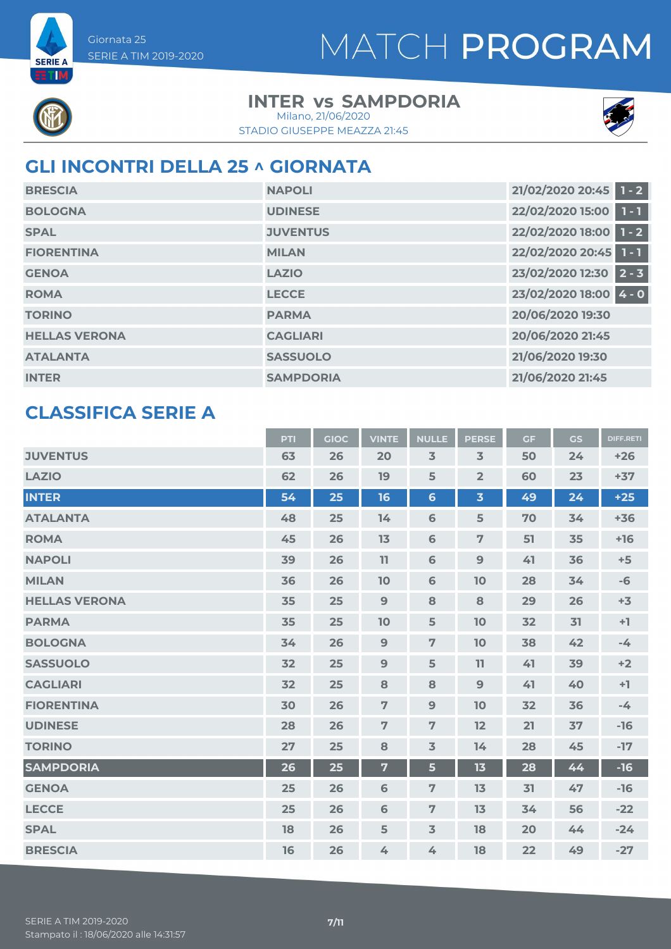

**SERIE A** ETIM

## **INTER vs SAMPDORIA**

STADIO GIUSEPPE MEAZZA 21:45 Milano, 21/06/2020



## **GLI INCONTRI DELLA 25 ^ GIORNATA**

| <b>BRESCIA</b>       | <b>NAPOLI</b>    | 21/02/2020 20:45 1 - 2       |
|----------------------|------------------|------------------------------|
| <b>BOLOGNA</b>       | <b>UDINESE</b>   | 22/02/2020 15:00 1 - 1       |
| <b>SPAL</b>          | <b>JUVENTUS</b>  | 22/02/2020 18:00 1 - 2       |
| <b>FIORENTINA</b>    | <b>MILAN</b>     | 22/02/2020 20:45 1 - 1       |
| <b>GENOA</b>         | <b>LAZIO</b>     | 23/02/2020 12:30<br>$12 - 3$ |
| <b>ROMA</b>          | <b>LECCE</b>     | 23/02/2020 18:00 4 - 0       |
| <b>TORINO</b>        | <b>PARMA</b>     | 20/06/2020 19:30             |
| <b>HELLAS VERONA</b> | <b>CAGLIARI</b>  | 20/06/2020 21:45             |
| <b>ATALANTA</b>      | <b>SASSUOLO</b>  | 21/06/2020 19:30             |
| <b>INTER</b>         | <b>SAMPDORIA</b> | 21/06/2020 21:45             |

### **CLASSIFICA SERIE A**

| <b>JUVENTUS</b><br>63<br>3<br>$\overline{3}$<br>26<br>20<br>50<br>24<br>$+26$<br>62<br><b>LAZIO</b><br>26<br>19<br>5<br>$\overline{2}$<br>60<br>23<br>$+37$<br><b>INTER</b><br>54<br>25<br>16<br>$6\phantom{a}$<br>$\overline{\mathbf{3}}$<br>49<br>24<br>$+25$<br><b>ATALANTA</b><br>48<br>25<br>$\mathbf 6$<br>5<br>70<br>14<br>34<br>$+36$<br>45<br>26<br>$\mathbf 6$<br>$\overline{7}$<br>51<br><b>ROMA</b><br>13<br>35<br>$+16$<br>39<br>26<br>11<br>9<br><b>NAPOLI</b><br>6<br>41<br>36<br>$+5$<br>36<br>26<br><b>MILAN</b><br>10<br>6<br>10<br>28<br>34<br>$-6$<br>35<br>25<br>9<br><b>HELLAS VERONA</b><br>8<br>8<br>29<br>26<br>$+3$<br>35<br>25<br><b>PARMA</b><br>10<br>5<br>10<br>32<br>31<br>$+1$<br>26<br>9<br>$\overline{7}$<br><b>BOLOGNA</b><br>34<br>10<br>38<br>42<br>$-4$<br>25<br><b>SASSUOLO</b><br>32<br>9<br>5<br>11<br>41<br>39<br>$+2$<br>32<br>25<br><b>CAGLIARI</b><br>8<br>8<br>9<br>41<br>$+1$<br>40<br>30<br>26<br>$\overline{7}$<br>9<br>10<br>32<br><b>FIORENTINA</b><br>36<br>$-4$<br>$\overline{7}$<br>28<br>26<br>$\overline{7}$<br>12<br>21<br>37<br><b>UDINESE</b><br>$-16$<br>25<br>27<br>8<br>$\overline{\mathsf{3}}$<br>14<br>28<br>$-17$<br><b>TORINO</b><br>45<br><b>SAMPDORIA</b><br>26<br>25<br>$\overline{7}$<br>$5\phantom{a}$<br>13<br>28<br>$-16$<br>44<br>25<br>26<br>$\overline{7}$<br><b>GENOA</b><br>6<br>13<br>31<br>47<br>$-16$<br>25<br><b>LECCE</b><br>26<br>6<br>$\overline{7}$<br>13<br>$-22$<br>34<br>56<br>18<br>26<br>5<br>$\overline{3}$<br>18<br><b>SPAL</b><br>20<br>$-24$<br>44 |                | PTI | <b>GIOC</b> | <b>VINTE</b> | <b>NULLE</b> | <b>PERSE</b> | <b>GF</b> | GS | <b>DIFF.RETI</b> |
|---------------------------------------------------------------------------------------------------------------------------------------------------------------------------------------------------------------------------------------------------------------------------------------------------------------------------------------------------------------------------------------------------------------------------------------------------------------------------------------------------------------------------------------------------------------------------------------------------------------------------------------------------------------------------------------------------------------------------------------------------------------------------------------------------------------------------------------------------------------------------------------------------------------------------------------------------------------------------------------------------------------------------------------------------------------------------------------------------------------------------------------------------------------------------------------------------------------------------------------------------------------------------------------------------------------------------------------------------------------------------------------------------------------------------------------------------------------------------------------------------------------------------------------------------|----------------|-----|-------------|--------------|--------------|--------------|-----------|----|------------------|
|                                                                                                                                                                                                                                                                                                                                                                                                                                                                                                                                                                                                                                                                                                                                                                                                                                                                                                                                                                                                                                                                                                                                                                                                                                                                                                                                                                                                                                                                                                                                                   |                |     |             |              |              |              |           |    |                  |
|                                                                                                                                                                                                                                                                                                                                                                                                                                                                                                                                                                                                                                                                                                                                                                                                                                                                                                                                                                                                                                                                                                                                                                                                                                                                                                                                                                                                                                                                                                                                                   |                |     |             |              |              |              |           |    |                  |
|                                                                                                                                                                                                                                                                                                                                                                                                                                                                                                                                                                                                                                                                                                                                                                                                                                                                                                                                                                                                                                                                                                                                                                                                                                                                                                                                                                                                                                                                                                                                                   |                |     |             |              |              |              |           |    |                  |
|                                                                                                                                                                                                                                                                                                                                                                                                                                                                                                                                                                                                                                                                                                                                                                                                                                                                                                                                                                                                                                                                                                                                                                                                                                                                                                                                                                                                                                                                                                                                                   |                |     |             |              |              |              |           |    |                  |
|                                                                                                                                                                                                                                                                                                                                                                                                                                                                                                                                                                                                                                                                                                                                                                                                                                                                                                                                                                                                                                                                                                                                                                                                                                                                                                                                                                                                                                                                                                                                                   |                |     |             |              |              |              |           |    |                  |
|                                                                                                                                                                                                                                                                                                                                                                                                                                                                                                                                                                                                                                                                                                                                                                                                                                                                                                                                                                                                                                                                                                                                                                                                                                                                                                                                                                                                                                                                                                                                                   |                |     |             |              |              |              |           |    |                  |
|                                                                                                                                                                                                                                                                                                                                                                                                                                                                                                                                                                                                                                                                                                                                                                                                                                                                                                                                                                                                                                                                                                                                                                                                                                                                                                                                                                                                                                                                                                                                                   |                |     |             |              |              |              |           |    |                  |
|                                                                                                                                                                                                                                                                                                                                                                                                                                                                                                                                                                                                                                                                                                                                                                                                                                                                                                                                                                                                                                                                                                                                                                                                                                                                                                                                                                                                                                                                                                                                                   |                |     |             |              |              |              |           |    |                  |
|                                                                                                                                                                                                                                                                                                                                                                                                                                                                                                                                                                                                                                                                                                                                                                                                                                                                                                                                                                                                                                                                                                                                                                                                                                                                                                                                                                                                                                                                                                                                                   |                |     |             |              |              |              |           |    |                  |
|                                                                                                                                                                                                                                                                                                                                                                                                                                                                                                                                                                                                                                                                                                                                                                                                                                                                                                                                                                                                                                                                                                                                                                                                                                                                                                                                                                                                                                                                                                                                                   |                |     |             |              |              |              |           |    |                  |
|                                                                                                                                                                                                                                                                                                                                                                                                                                                                                                                                                                                                                                                                                                                                                                                                                                                                                                                                                                                                                                                                                                                                                                                                                                                                                                                                                                                                                                                                                                                                                   |                |     |             |              |              |              |           |    |                  |
|                                                                                                                                                                                                                                                                                                                                                                                                                                                                                                                                                                                                                                                                                                                                                                                                                                                                                                                                                                                                                                                                                                                                                                                                                                                                                                                                                                                                                                                                                                                                                   |                |     |             |              |              |              |           |    |                  |
|                                                                                                                                                                                                                                                                                                                                                                                                                                                                                                                                                                                                                                                                                                                                                                                                                                                                                                                                                                                                                                                                                                                                                                                                                                                                                                                                                                                                                                                                                                                                                   |                |     |             |              |              |              |           |    |                  |
|                                                                                                                                                                                                                                                                                                                                                                                                                                                                                                                                                                                                                                                                                                                                                                                                                                                                                                                                                                                                                                                                                                                                                                                                                                                                                                                                                                                                                                                                                                                                                   |                |     |             |              |              |              |           |    |                  |
|                                                                                                                                                                                                                                                                                                                                                                                                                                                                                                                                                                                                                                                                                                                                                                                                                                                                                                                                                                                                                                                                                                                                                                                                                                                                                                                                                                                                                                                                                                                                                   |                |     |             |              |              |              |           |    |                  |
|                                                                                                                                                                                                                                                                                                                                                                                                                                                                                                                                                                                                                                                                                                                                                                                                                                                                                                                                                                                                                                                                                                                                                                                                                                                                                                                                                                                                                                                                                                                                                   |                |     |             |              |              |              |           |    |                  |
|                                                                                                                                                                                                                                                                                                                                                                                                                                                                                                                                                                                                                                                                                                                                                                                                                                                                                                                                                                                                                                                                                                                                                                                                                                                                                                                                                                                                                                                                                                                                                   |                |     |             |              |              |              |           |    |                  |
|                                                                                                                                                                                                                                                                                                                                                                                                                                                                                                                                                                                                                                                                                                                                                                                                                                                                                                                                                                                                                                                                                                                                                                                                                                                                                                                                                                                                                                                                                                                                                   |                |     |             |              |              |              |           |    |                  |
|                                                                                                                                                                                                                                                                                                                                                                                                                                                                                                                                                                                                                                                                                                                                                                                                                                                                                                                                                                                                                                                                                                                                                                                                                                                                                                                                                                                                                                                                                                                                                   |                |     |             |              |              |              |           |    |                  |
|                                                                                                                                                                                                                                                                                                                                                                                                                                                                                                                                                                                                                                                                                                                                                                                                                                                                                                                                                                                                                                                                                                                                                                                                                                                                                                                                                                                                                                                                                                                                                   | <b>BRESCIA</b> | 16  | 26          | 4            | 4            | 18           | 22        | 49 | $-27$            |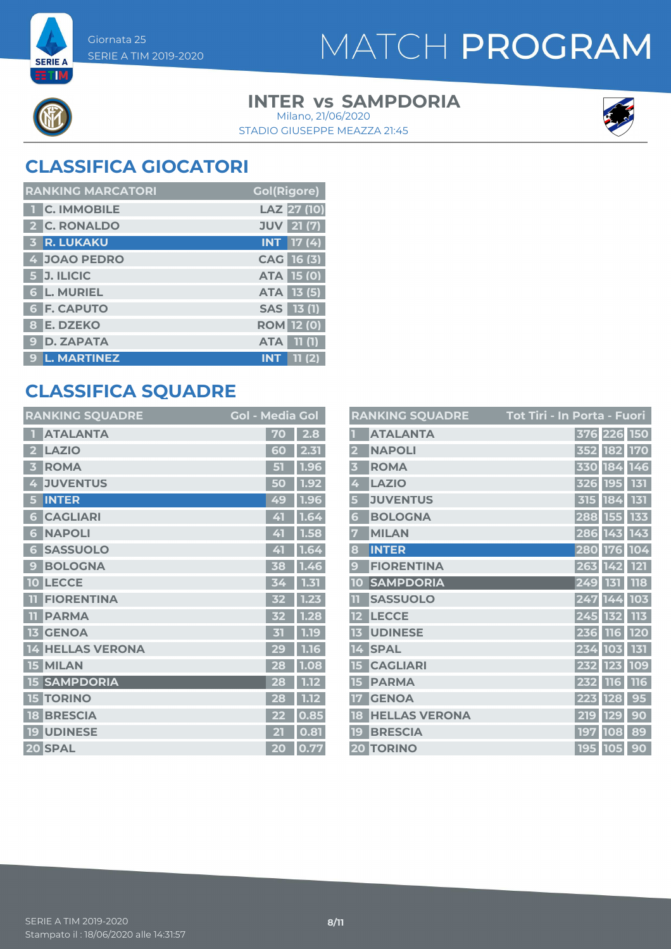

**SERIE A** ETIM

### **INTER vs SAMPDORIA** Milano, 21/06/2020



STADIO GIUSEPPE MEAZZA 21:45

## **CLASSIFICA GIOCATORI**

| <b>RANKING MARCATORI</b> | <b>Gol(Rigore)</b>  |
|--------------------------|---------------------|
| <b>C. IMMOBILE</b>       | LAZ 27 (10)         |
| 2 C. RONALDO             | <b>JUV</b> 21 (7)   |
| <b>3 R. LUKAKU</b>       | $INT$ 17 (4)        |
| 4 JOAO PEDRO             | CAG 16 (3)          |
| 5 J. ILICIC              | ATA 15 (0)          |
| <b>6 L. MURIEL</b>       | <b>ATA 13 (5)</b>   |
| <b>6 F. CAPUTO</b>       | SAS 13 (1)          |
| 8 E. DZEKO               | <b>ROM</b> 12 (0)   |
| <b>D. ZAPATA</b><br>9    | 11(1)<br><b>ATA</b> |
| <b>L. MARTINEZ</b><br>9  | <b>INT</b><br>11(2) |

## **CLASSIFICA SQUADRE**

| <b>RANKING SQUADRE</b>         | <b>Gol - Media Gol</b> |      |
|--------------------------------|------------------------|------|
| <b>ATALANTA</b>                | 70                     | 2.8  |
| <b>LAZIO</b><br>2              | 60                     | 2.31 |
| <b>ROMA</b><br>B               | 51                     | 1.96 |
| <b>JUVENTUS</b><br>4           | 50                     | 1.92 |
| <b>INTER</b><br>5              | 49                     | 1.96 |
| <b>CAGLIARI</b><br>6           | 41                     | 1.64 |
| <b>NAPOLI</b><br>6             | 41                     | 1.58 |
| <b>SASSUOLO</b><br>6           | 41                     | 1.64 |
| <b>BOLOGNA</b><br>$\mathbf{C}$ | 38                     | 1.46 |
| <b>LECCE</b><br>10             | 34                     | 1.31 |
| <b>FIORENTINA</b><br>ш         | 32                     | 1.23 |
| <b>PARMA</b><br>T              | 32                     | 1.28 |
| <b>GENOA</b><br>13             | 31                     | 1.19 |
| <b>HELLAS VERONA</b><br>14     | 29                     | 1.16 |
| <b>15 MILAN</b>                | 28                     | 1.08 |
| <b>15 SAMPDORIA</b>            | 28                     | 1.12 |
| <b>TORINO</b><br>15            | 28                     | 1.12 |
| <b>BRESCIA</b><br>18           | 22                     | 0.85 |
| <b>19 UDINESE</b>              | 21                     | 0.81 |
| 20 SPAL                        | 20                     | 0.77 |

|                         | <b>RANKING SQUADRE</b> | <u> Tot Tiri - In Porta - Fuori</u> |     |             |            |
|-------------------------|------------------------|-------------------------------------|-----|-------------|------------|
|                         | <b>ATALANTA</b>        |                                     |     | 376 226 150 |            |
| $\overline{\mathbf{2}}$ | <b>NAPOLI</b>          |                                     |     | 352 182     | <b>170</b> |
| $\overline{\mathbf{3}}$ | <b>ROMA</b>            |                                     |     | 330 184     | 146        |
| 4                       | <b>LAZIO</b>           |                                     | 326 | <b>195</b>  | 131        |
| 5                       | <b>JUVENTUS</b>        |                                     |     | 315 184     | 131        |
| 6                       | <b>BOLOGNA</b>         |                                     |     | 288 155     | 133        |
| 7                       | <b>MILAN</b>           |                                     |     | 286 143     | 143        |
| 8                       | <b>INTER</b>           |                                     |     | 280 176     | 104        |
| 9                       | <b>FIORENTINA</b>      |                                     |     | 263 142     | 121        |
| 10                      | <b>SAMPDORIA</b>       |                                     | 249 | 131         | 118        |
| TT                      | <b>SASSUOLO</b>        |                                     |     | 247 144     | 103        |
| 12                      | <b>LECCE</b>           |                                     |     | 245 132     | 113        |
| 13                      | <b>UDINESE</b>         |                                     | 236 | <b>116</b>  | 120        |
| 14                      | <b>SPAL</b>            |                                     | 234 | 103         | 131        |
| 15                      | <b>CAGLIARI</b>        |                                     | 232 | 123         | 109        |
| 15                      | <b>PARMA</b>           |                                     | 232 | <b>116</b>  | 116        |
| 17                      | <b>GENOA</b>           |                                     | 223 | <b>128</b>  | 95         |
| 18                      | <b>HELLAS VERONA</b>   |                                     | 219 | <b>129</b>  | 90         |
| 19                      | <b>BRESCIA</b>         |                                     | 197 | 108         | 89         |
|                         | <b>20 TORINO</b>       |                                     |     | 195 105     | 90         |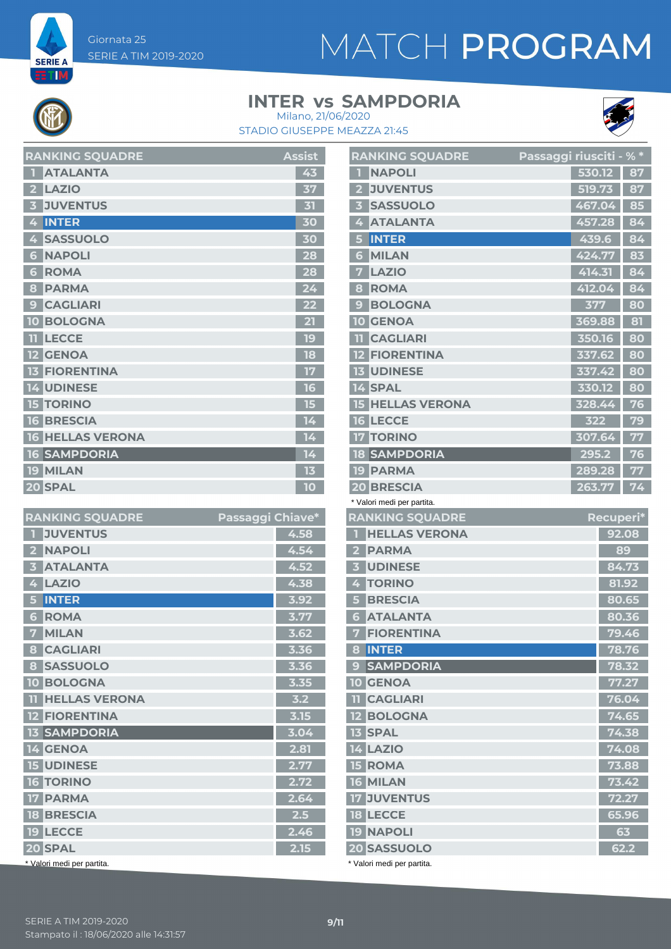Giornata 25 SERIE A TIM 2019-2020

**SERIE A** ETM

# MATCH PROGRAM

### **INTER vs SAMPDORIA**



STADIO GIUSEPPE MEAZZA 21:45 Milano, 21/06/2020

| <b>RANKING SQUADRE</b>       | <b>Assist</b> |
|------------------------------|---------------|
| <b>ATALANTA</b>              | 43            |
| <b>LAZIO</b><br>$\mathbf{z}$ | 37            |
| <b>JUVENTUS</b>              | 31            |
| <b>INTER</b><br>4            | 30            |
| <b>SASSUOLO</b><br>4         | 30            |
| <b>NAPOLI</b><br>6           | 28            |
| <b>ROMA</b><br>6             | 28            |
| <b>PARMA</b><br>8            | 24            |
| <b>CAGLIARI</b><br>9         | 22            |
| <b>10 BOLOGNA</b>            | 21            |
| <b>LECCE</b><br>m            | 19            |
| <b>GENOA</b>                 | 18            |
| <b>FIORENTINA</b>            | 17            |
| <b>14 UDINESE</b>            | 16            |
| <b>15 TORINO</b>             | 15            |
| <b>16 BRESCIA</b>            | 14            |
| <b>16 HELLAS VERONA</b>      | 14            |
| <b>16 SAMPDORIA</b>          | 14            |
| <b>19 MILAN</b>              | 13            |
| 20 SPAL                      | 10            |

| <b>RANKING SQUADRE</b>                   | Passaggi Chiave* |      |
|------------------------------------------|------------------|------|
| <b>JUVENTUS</b><br>П                     |                  | 4.58 |
| <b>NAPOLI</b><br>$\overline{\mathbf{2}}$ |                  | 4.54 |
| <b>ATALANTA</b><br>В                     |                  | 4.52 |
| <b>LAZIO</b><br>4                        |                  | 4.38 |
| <b>INTER</b><br>5                        |                  | 3.92 |
| <b>ROMA</b><br>6                         |                  | 3.77 |
| <b>MILAN</b><br>7                        |                  | 3.62 |
| <b>CAGLIARI</b><br>8                     |                  | 3.36 |
| <b>SASSUOLO</b><br>8                     |                  | 3.36 |
| <b>BOLOGNA</b><br>10                     |                  | 3.35 |
| <b>HELLAS VERONA</b><br>$\mathbf{H}$     |                  | 3.2  |
| <b>12 FIORENTINA</b>                     |                  | 3.15 |
| <b>13 SAMPDORIA</b>                      |                  | 3.04 |
| 14 GENOA                                 |                  | 2.81 |
| <b>15 UDINESE</b>                        |                  | 2.77 |
| <b>16 TORINO</b>                         |                  | 2.72 |
| <b>17 PARMA</b>                          |                  | 2.64 |
| <b>18 BRESCIA</b>                        |                  | 2.5  |
| <b>19 LECCE</b>                          |                  | 2.46 |
| 20 SPAL                                  |                  | 2.15 |
| * Valori medi per partita.               |                  |      |

|                                   | <b>RANKING SQUADRE</b>  | <u>Passaggi riusciti - % *</u> |        |           |            |
|-----------------------------------|-------------------------|--------------------------------|--------|-----------|------------|
| <b>NAPOLI</b><br>П                |                         |                                | 530.12 |           | 87         |
| <b>JUVENTUS</b><br>2 <sup>1</sup> |                         |                                | 519.73 |           | 87         |
| <b>SASSUOLO</b><br>3 <sup>1</sup> |                         |                                | 467.04 |           | 85         |
| <b>ATALANTA</b><br>4              |                         |                                | 457.28 |           | 84         |
| <b>INTER</b><br>5                 |                         |                                | 439.6  |           | 84         |
| <b>MILAN</b><br>6                 |                         |                                | 424.77 |           | 83         |
| <b>LAZIO</b><br>7                 |                         |                                | 414.31 |           | 84         |
| <b>ROMA</b><br>8                  |                         |                                | 412.04 |           | 84         |
| <b>BOLOGNA</b><br>9               |                         |                                | 377    |           | 80         |
| <b>10 GENOA</b>                   |                         |                                | 369.88 |           | 81         |
| <b>CAGLIARI</b><br>11.            |                         |                                | 350.16 |           | 80         |
| <b>12 FIORENTINA</b>              |                         |                                | 337.62 |           | 80         |
| <b>13 UDINESE</b>                 |                         |                                | 337.42 |           | 80         |
| 14 SPAL                           |                         |                                | 330.12 |           | 80         |
|                                   | <b>15 HELLAS VERONA</b> |                                | 328.44 |           | 76         |
| <b>16 LECCE</b>                   |                         |                                | 322    |           | 79         |
| <b>17 TORINO</b>                  |                         |                                | 307.64 |           | 77         |
| <b>18 SAMPDORIA</b>               |                         |                                | 295.2  |           | 76         |
| <b>19 PARMA</b>                   |                         |                                | 289.28 |           | 77         |
| 20 BRESCIA                        |                         |                                | 263.77 |           | 74         |
| * Valori medi per partita.        |                         |                                |        |           |            |
|                                   |                         |                                |        |           |            |
| <b>RANKING SQUADRE</b>            |                         |                                |        | Recuperi* |            |
| П                                 | <b>HELLAS VERONA</b>    |                                |        |           | 92.08      |
| 2 PARMA                           |                         |                                |        |           | 89         |
| <b>3 UDINESE</b>                  |                         |                                |        |           | 84.73      |
| 4 TORINO                          |                         |                                |        |           | 81.92      |
| <b>5 BRESCIA</b>                  |                         |                                |        |           | 80.65      |
| <b>6 ATALANTA</b>                 |                         |                                |        |           | 80.36      |
| <b>7 FIORENTINA</b>               |                         |                                |        |           | 79.46      |
| 8 INTER                           |                         |                                |        |           | 78.76      |
| 9 SAMPDORIA                       |                         |                                |        |           | 78.32      |
| <b>10 GENOA</b>                   |                         |                                |        |           | 77.27      |
| <b>TT</b> CAGLIARI                |                         |                                |        |           | 76.04      |
| <b>12 BOLOGNA</b>                 |                         |                                |        |           | 74.65      |
| <b>13 SPAL</b>                    |                         |                                |        |           | 74.38      |
| <b>14 LAZIO</b>                   |                         |                                |        |           | 74.08      |
| <b>15 ROMA</b>                    |                         |                                |        |           | 73.88      |
| <b>16 MILAN</b>                   |                         |                                |        |           | 73.42      |
| <b>17 JUVENTUS</b>                |                         |                                |        |           | 72.27      |
| <b>18 LECCE</b>                   |                         |                                |        |           | 65.96      |
| <b>19 NAPOLI</b><br>20 SASSUOLO   |                         |                                |        |           | 63<br>62.2 |

\* Valori medi per partita.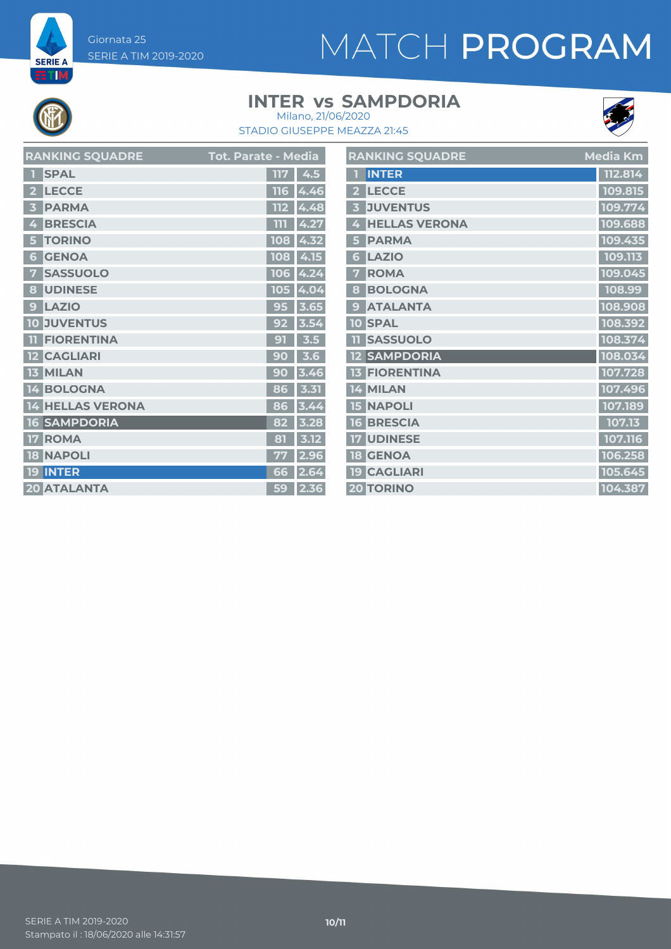Giornata 25 SERIE A TIM 2019-2020

# MATCH PROGRAM



**SERIE A EETIM** 

### **INTER vs SAMPDORIA**



STADIO GIUSEPPE MEAZZA 21:45 Milano, 21/06/2020

| <b>RANKING SQUADRE</b> | <b>Tot. Parate - Media</b> | <b>RANKING SQUADRE</b> | Media Km |
|------------------------|----------------------------|------------------------|----------|
| 1 SPAL                 | $117 \mid 4.5$             | 1 INTER                | 112.814  |
| 2 LECCE                | $116$ 4.46                 | 2 LECCE                | 109.815  |
| 3 PARMA                | $112 \, 4.48$              | <b>3 JUVENTUS</b>      | 109.774  |
| 4 BRESCIA              | $\overline{111}$ 4.27      | 4 HELLAS VERONA        | 109.688  |
| 5 TORINO               | 108 4.32                   | 5 PARMA                | 109.435  |
| <b>6 GENOA</b>         | 108 4.15                   | 6 LAZIO                | 109.113  |
| <b>7 SASSUOLO</b>      | 106 4.24                   | 7 ROMA                 | 109.045  |
| 8 UDINESE              | 105 4.04                   | 8 BOLOGNA              | 108.99   |
| 9 LAZIO                | $95 \,   \, 3.65 \,   \,$  | 9 ATALANTA             | 108.908  |
| <b>10 JUVENTUS</b>     | $92$ 3.54                  | <b>10 SPAL</b>         | 108.392  |
| <b>11 FIORENTINA</b>   | $91 \mid 3.5$              | <b>11 SASSUOLO</b>     | 108.374  |
| <b>12 CAGLIARI</b>     | $90 \mid 3.6$              | <b>12 SAMPDORIA</b>    | 108.034  |
| <b>13 MILAN</b>        | 90   3.46                  | <b>13 FIORENTINA</b>   | 107.728  |
| 14 BOLOGNA             | $86$ 3.31                  | 14 MILAN               | 107.496  |
| 14 HELLAS VERONA       | $86 \overline{)3.44}$      | <b>15 NAPOLI</b>       | 107.189  |
| <b>16 SAMPDORIA</b>    | 82 3.28                    | <b>16 BRESCIA</b>      | 107.13   |
| <b>17 ROMA</b>         | $\overline{81}$ 3.12       | <b>17 UDINESE</b>      | 107.116  |
| <b>18 NAPOLI</b>       | $77$ 2.96                  | <b>18 GENOA</b>        | 106.258  |
| 19 INTER               | 66 2.64                    | 19 CAGLIARI            | 105.645  |
| <b>20 ATALANTA</b>     | 59 2.36                    | <b>20 TORINO</b>       | 104.387  |